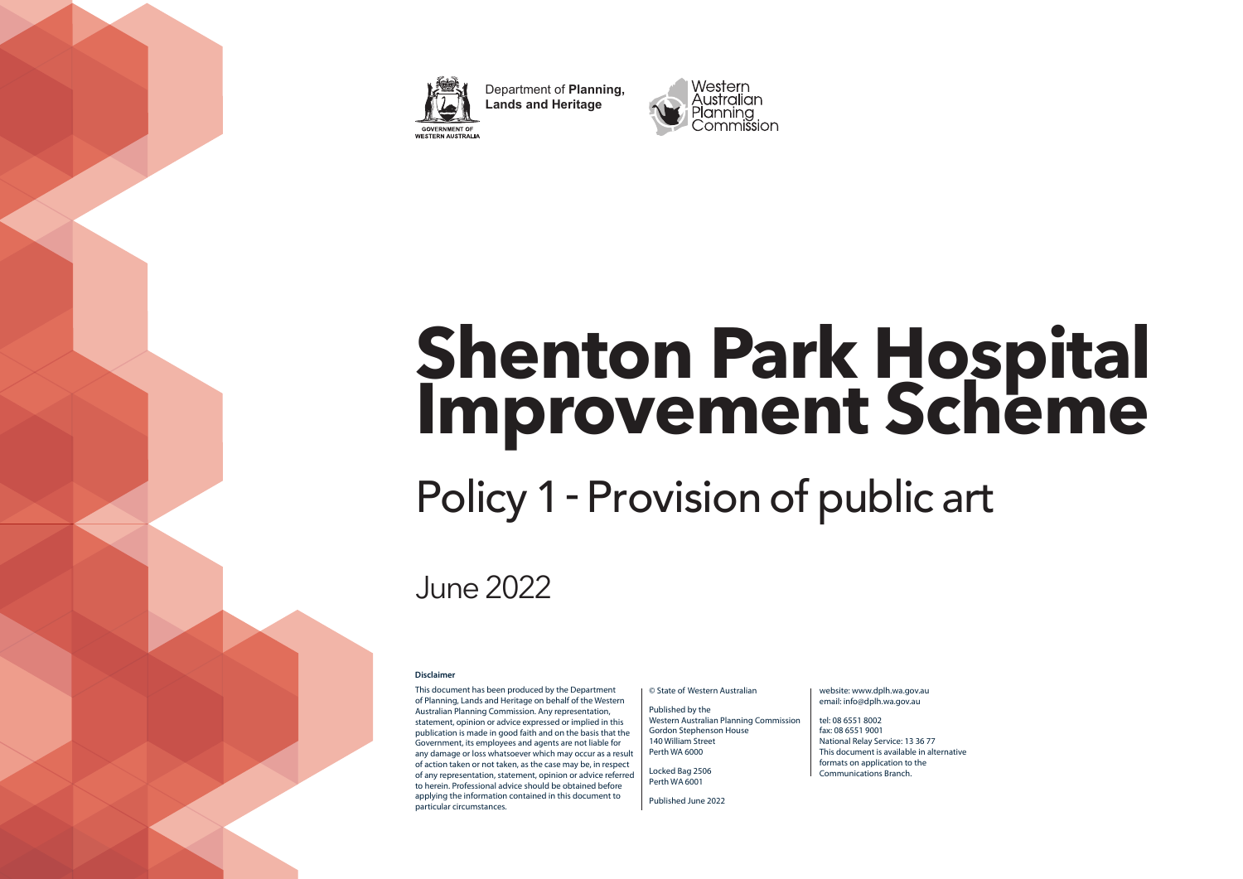

Department of **Planning, Lands and Heritage** WESTERN AUSTRALIA



# **Shenton Park Hospital Improvement Scheme**

## Policy 1- Provision of public art

## June 2022

#### **Disclaimer**

This document has been produced by the Department of Planning, Lands and Heritage on behalf of the Western Australian Planning Commission. Any representation, statement, opinion or advice expressed or implied in this publication is made in good faith and on the basis that the Government, its employees and agents are not liable for any damage or loss whatsoever which may occur as a result of action taken or not taken, as the case may be, in respect of any representation, statement, opinion or advice referred to herein. Professional advice should be obtained before applying the information contained in this document to particular circumstances.

#### © State of Western Australian

Published by the Western Australian Planning Commission Gordon Stephenson House 140 William Street Perth WA 6000

Locked Bag 2506 Perth WA 6001

Published June 2022

#### website: www.dplh.wa.gov.au email: info@dplh.wa.gov.au

tel: 08 6551 8002 fax: 08 6551 9001 National Relay Service: 13 36 77 This document is available in alternative formats on application to the Communications Branch.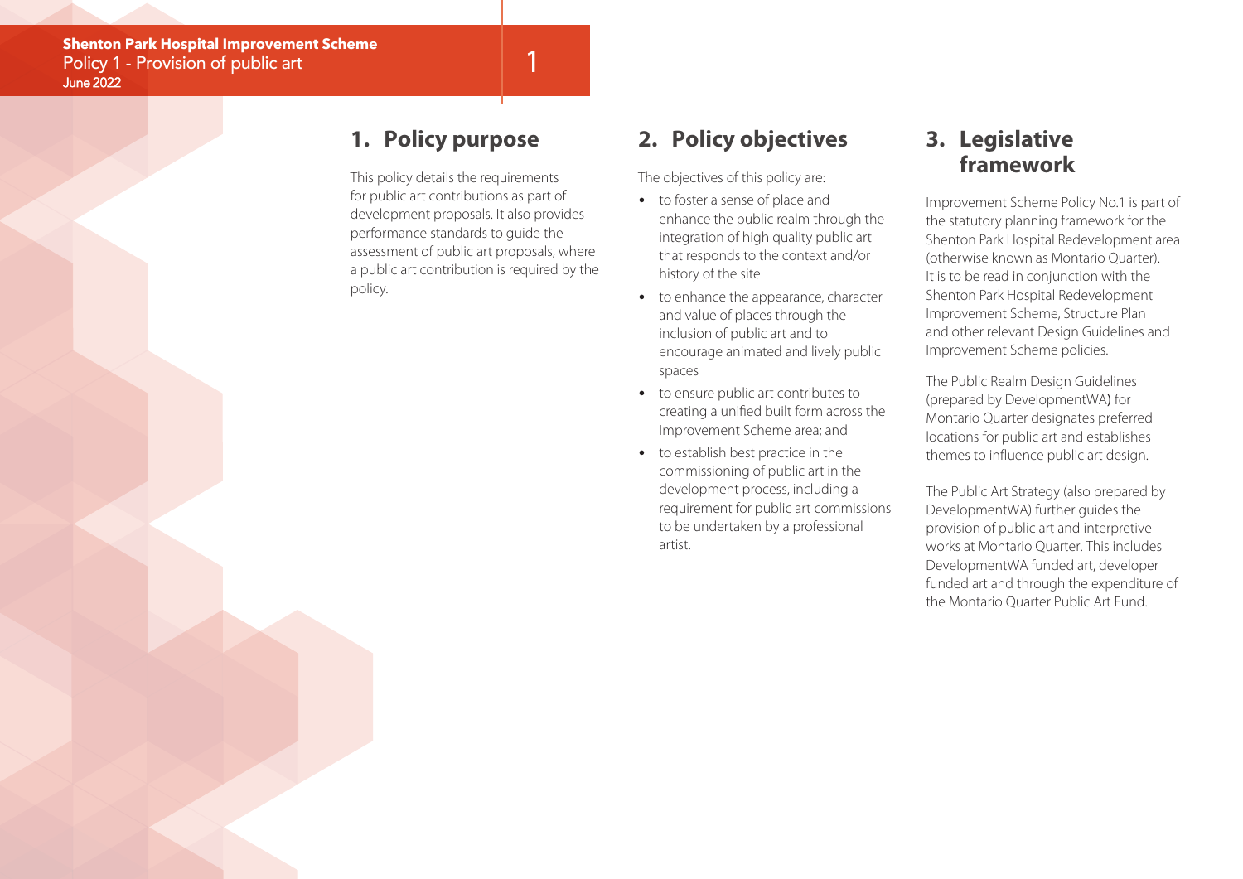## **1. Policy purpose**

This policy details the requirements for public art contributions as part of development proposals. It also provides performance standards to guide the assessment of public art proposals, where a public art contribution is required by the policy.

1

## **2. Policy objectives**

The objectives of this policy are:

- to foster a sense of place and enhance the public realm through the integration of high quality public art that responds to the context and/or history of the site
- to enhance the appearance, character and value of places through the inclusion of public art and to encourage animated and lively public spaces
- to ensure public art contributes to creating a unified built form across the Improvement Scheme area; and
- to establish best practice in the commissioning of public art in the development process, including a requirement for public art commissions to be undertaken by a professional artist.

## **3. Legislative framework**

Improvement Scheme Policy No.1 is part of the statutory planning framework for the Shenton Park Hospital Redevelopment area (otherwise known as Montario Quarter). It is to be read in conjunction with the Shenton Park Hospital Redevelopment Improvement Scheme, Structure Plan and other relevant Design Guidelines and Improvement Scheme policies.

The Public Realm Design Guidelines (prepared by DevelopmentWA) for Montario Quarter designates preferred locations for public art and establishes themes to influence public art design.

The Public Art Strategy (also prepared by DevelopmentWA) further guides the provision of public art and interpretive works at Montario Quarter. This includes DevelopmentWA funded art, developer funded art and through the expenditure of the Montario Quarter Public Art Fund.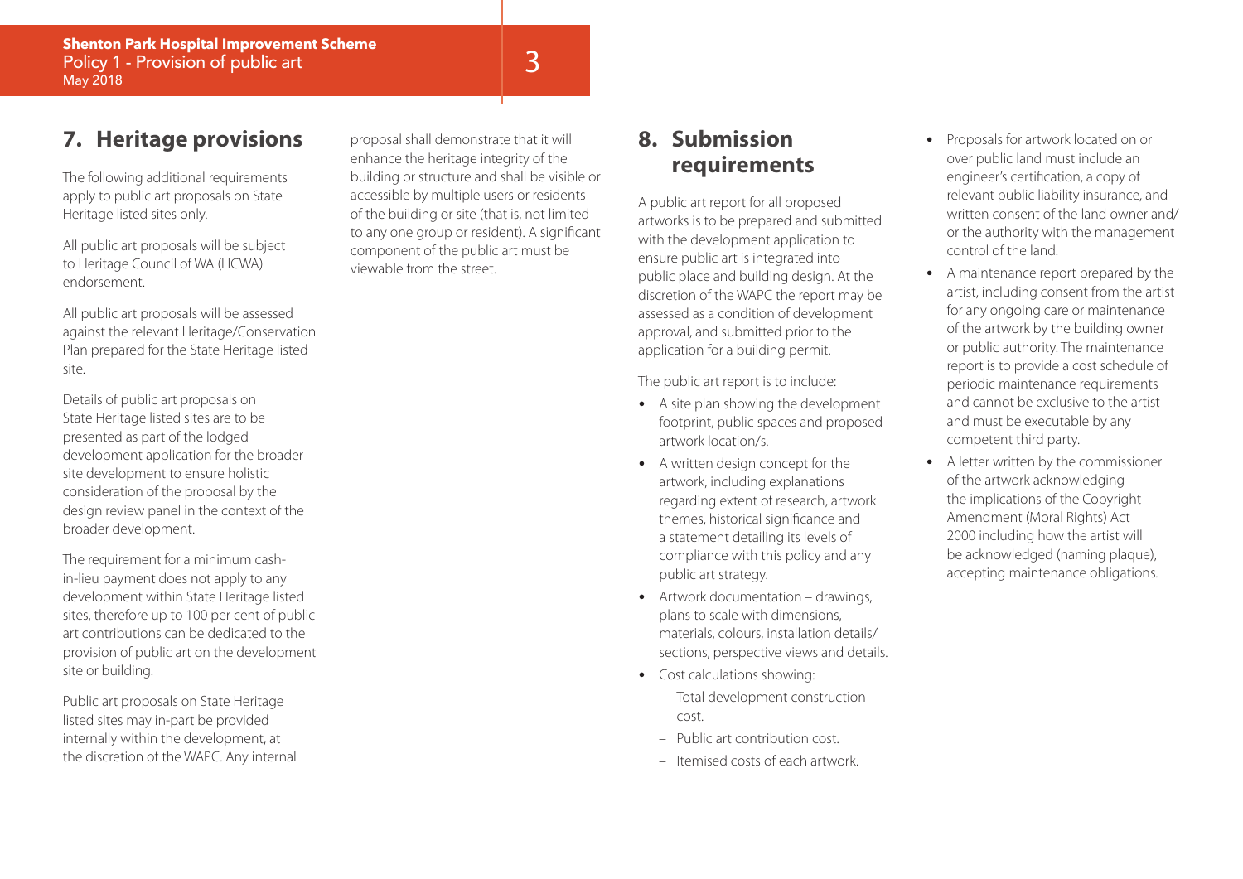## **7. Heritage provisions**

The following additional requirements apply to public art proposals on State Heritage listed sites only.

All public art proposals will be subject to Heritage Council of WA (HCWA) endorsement.

All public art proposals will be assessed against the relevant Heritage/Conservation Plan prepared for the State Heritage listed site.

Details of public art proposals on State Heritage listed sites are to be presented as part of the lodged development application for the broader site development to ensure holistic consideration of the proposal by the design review panel in the context of the broader development.

The requirement for a minimum cashin-lieu payment does not apply to any development within State Heritage listed sites, therefore up to 100 per cent of public art contributions can be dedicated to the provision of public art on the development site or building.

Public art proposals on State Heritage listed sites may in-part be provided internally within the development, at the discretion of the WAPC. Any internal

proposal shall demonstrate that it will enhance the heritage integrity of the building or structure and shall be visible or accessible by multiple users or residents of the building or site (that is, not limited to any one group or resident). A significant component of the public art must be viewable from the street.

## **8. Submission requirements**

A public art report for all proposed artworks is to be prepared and submitted with the development application to ensure public art is integrated into public place and building design. At the discretion of the WAPC the report may be assessed as a condition of development approval, and submitted prior to the application for a building permit.

The public art report is to include:

- A site plan showing the development footprint, public spaces and proposed artwork location/s.
- A written design concept for the artwork, including explanations regarding extent of research, artwork themes, historical significance and a statement detailing its levels of compliance with this policy and any public art strategy.
- Artwork documentation drawings, plans to scale with dimensions, materials, colours, installation details/ sections, perspective views and details.
- Cost calculations showing:
	- Total development construction cost.
	- Public art contribution cost.
	- Itemised costs of each artwork.
- Proposals for artwork located on or over public land must include an engineer's certification, a copy of relevant public liability insurance, and written consent of the land owner and/ or the authority with the management control of the land.
- A maintenance report prepared by the artist, including consent from the artist for any ongoing care or maintenance of the artwork by the building owner or public authority. The maintenance report is to provide a cost schedule of periodic maintenance requirements and cannot be exclusive to the artist and must be executable by any competent third party.
- A letter written by the commissioner of the artwork acknowledging the implications of the Copyright Amendment (Moral Rights) Act 2000 including how the artist will be acknowledged (naming plaque), accepting maintenance obligations.